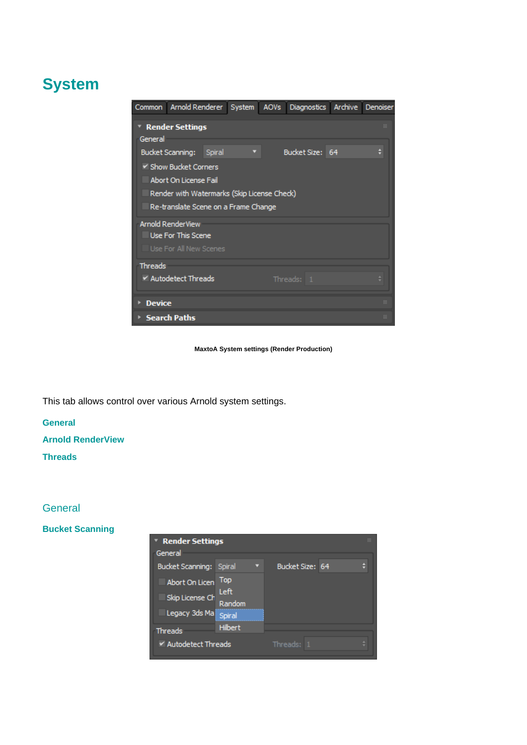# **System**

| Common                                                                              | Arnold Renderer           |        | System | AOV <sub>S</sub> | <b>Diagnostics</b> | Archive | Denoiser |
|-------------------------------------------------------------------------------------|---------------------------|--------|--------|------------------|--------------------|---------|----------|
| <b>Render Settings</b><br>m<br>General                                              |                           |        |        |                  |                    |         |          |
|                                                                                     | <b>Bucket Scanning:</b>   | Spiral |        |                  | Bucket Size: 64    |         |          |
| Show Bucket Corners<br>Abort On License Fail                                        |                           |        |        |                  |                    |         |          |
| Render with Watermarks (Skip License Check)<br>Re-translate Scene on a Frame Change |                           |        |        |                  |                    |         |          |
| <b>Arnold RenderView</b><br>Use For This Scene                                      |                           |        |        |                  |                    |         |          |
| Use For All New Scenes                                                              |                           |        |        |                  |                    |         |          |
| <b>Threads</b>                                                                      |                           |        |        |                  |                    |         |          |
|                                                                                     | $\vee$ Autodetect Threads |        |        |                  | Threads: 1         |         | ٠        |
| <b>Device</b>                                                                       |                           |        |        |                  |                    |         | m        |
| <b>Search Paths</b>                                                                 |                           |        |        |                  |                    |         | HE.      |

**MaxtoA System settings (Render Production)**

This tab allows control over various Arnold system settings.

**[General](#page-0-0)**

**[Arnold RenderView](#page-2-0)**

**[Threads](#page-2-1)**

## <span id="page-0-0"></span>**[General](#page-0-0)**

## **Bucket Scanning**

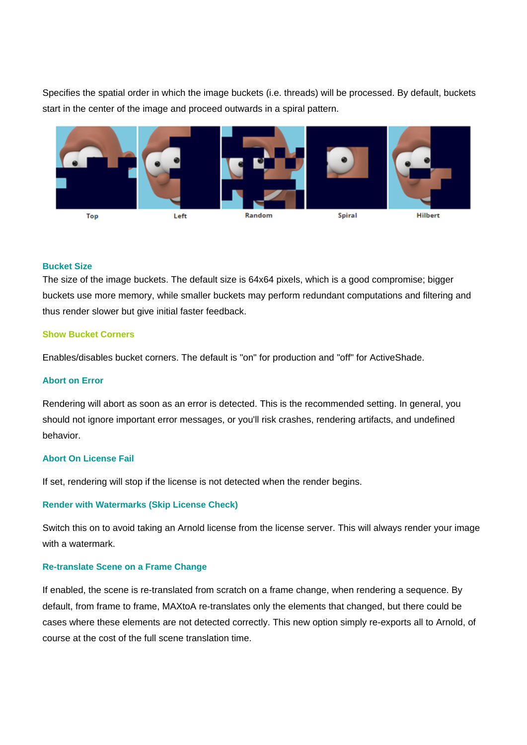Specifies the spatial order in which the image buckets (i.e. threads) will be processed. By default, buckets start in the center of the image and proceed outwards in a spiral pattern.



### **Bucket Size**

The size of the image buckets. The default size is 64x64 pixels, which is a good compromise; bigger buckets use more memory, while smaller buckets may perform redundant computations and filtering and thus render slower but give initial faster feedback.

### <span id="page-1-0"></span>**[Show Bucket Corners](#page-1-0)**

Enables/disables bucket corners. The default is "on" for production and "off" for ActiveShade.

#### **Abort on Error**

Rendering will abort as soon as an error is detected. This is the recommended setting. In general, you should not ignore important error messages, or you'll risk crashes, rendering artifacts, and undefined behavior.

#### **Abort On License Fail**

If set, rendering will stop if the license is not detected when the render begins.

#### **Render with Watermarks (Skip License Check)**

Switch this on to avoid taking an Arnold license from the license server. This will always render your image with a watermark.

## **Re-translate Scene on a Frame Change**

If enabled, the scene is re-translated from scratch on a frame change, when rendering a sequence. By default, from frame to frame, MAXtoA re-translates only the elements that changed, but there could be cases where these elements are not detected correctly. This new option simply re-exports all to Arnold, of course at the cost of the full scene translation time.